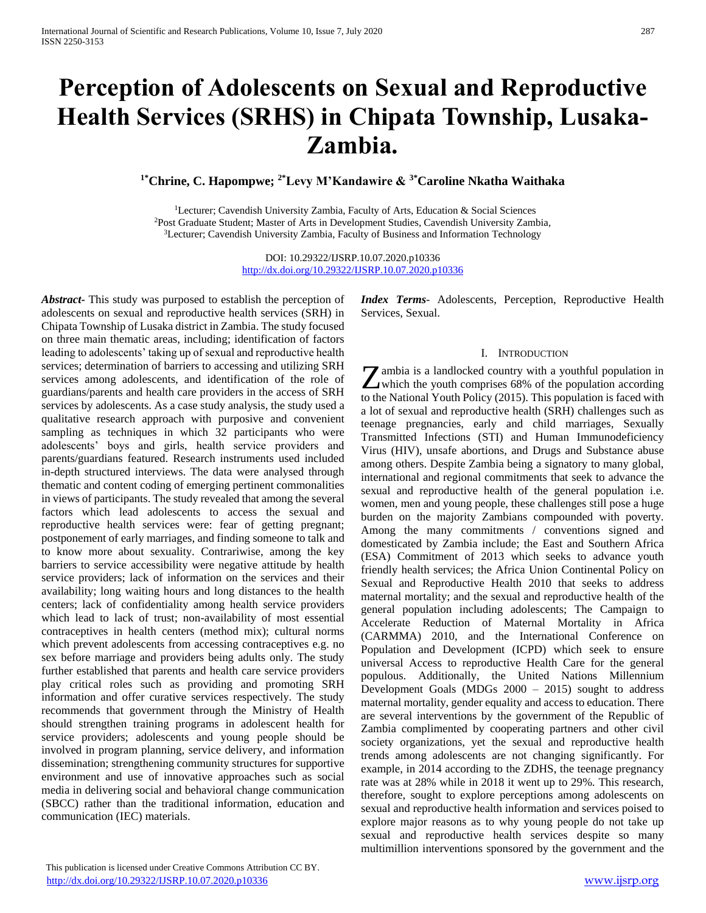# **Perception of Adolescents on Sexual and Reproductive Health Services (SRHS) in Chipata Township, Lusaka-Zambia.**

**1\*Chrine, C. Hapompwe; 2\*Levy M'Kandawire & 3\*Caroline Nkatha Waithaka** 

<sup>1</sup>Lecturer; Cavendish University Zambia, Faculty of Arts, Education & Social Sciences <sup>2</sup>Post Graduate Student; Master of Arts in Development Studies, Cavendish University Zambia, <sup>3</sup>Lecturer; Cavendish University Zambia, Faculty of Business and Information Technology

> DOI: 10.29322/IJSRP.10.07.2020.p10336 <http://dx.doi.org/10.29322/IJSRP.10.07.2020.p10336>

*Abstract***-** This study was purposed to establish the perception of adolescents on sexual and reproductive health services (SRH) in Chipata Township of Lusaka district in Zambia. The study focused on three main thematic areas, including; identification of factors leading to adolescents' taking up of sexual and reproductive health services; determination of barriers to accessing and utilizing SRH services among adolescents, and identification of the role of guardians/parents and health care providers in the access of SRH services by adolescents. As a case study analysis, the study used a qualitative research approach with purposive and convenient sampling as techniques in which 32 participants who were adolescents' boys and girls, health service providers and parents/guardians featured. Research instruments used included in-depth structured interviews. The data were analysed through thematic and content coding of emerging pertinent commonalities in views of participants. The study revealed that among the several factors which lead adolescents to access the sexual and reproductive health services were: fear of getting pregnant; postponement of early marriages, and finding someone to talk and to know more about sexuality. Contrariwise, among the key barriers to service accessibility were negative attitude by health service providers; lack of information on the services and their availability; long waiting hours and long distances to the health centers; lack of confidentiality among health service providers which lead to lack of trust; non-availability of most essential contraceptives in health centers (method mix); cultural norms which prevent adolescents from accessing contraceptives e.g. no sex before marriage and providers being adults only. The study further established that parents and health care service providers play critical roles such as providing and promoting SRH information and offer curative services respectively. The study recommends that government through the Ministry of Health should strengthen training programs in adolescent health for service providers; adolescents and young people should be involved in program planning, service delivery, and information dissemination; strengthening community structures for supportive environment and use of innovative approaches such as social media in delivering social and behavioral change communication (SBCC) rather than the traditional information, education and communication (IEC) materials.

*Index Terms*- Adolescents, Perception, Reproductive Health Services, Sexual.

#### I. INTRODUCTION

ambia is a landlocked country with a youthful population in **Z** ambia is a landlocked country with a youthful population in which the youth comprises 68% of the population according to the National Youth Policy (2015). This population is faced with a lot of sexual and reproductive health (SRH) challenges such as teenage pregnancies, early and child marriages, Sexually Transmitted Infections (STI) and Human Immunodeficiency Virus (HIV), unsafe abortions, and Drugs and Substance abuse among others. Despite Zambia being a signatory to many global, international and regional commitments that seek to advance the sexual and reproductive health of the general population i.e. women, men and young people, these challenges still pose a huge burden on the majority Zambians compounded with poverty. Among the many commitments / conventions signed and domesticated by Zambia include; the East and Southern Africa (ESA) Commitment of 2013 which seeks to advance youth friendly health services; the Africa Union Continental Policy on Sexual and Reproductive Health 2010 that seeks to address maternal mortality; and the sexual and reproductive health of the general population including adolescents; The Campaign to Accelerate Reduction of Maternal Mortality in Africa (CARMMA) 2010, and the International Conference on Population and Development (ICPD) which seek to ensure universal Access to reproductive Health Care for the general populous. Additionally, the United Nations Millennium Development Goals (MDGs 2000 – 2015) sought to address maternal mortality, gender equality and access to education. There are several interventions by the government of the Republic of Zambia complimented by cooperating partners and other civil society organizations, yet the sexual and reproductive health trends among adolescents are not changing significantly. For example, in 2014 according to the ZDHS, the teenage pregnancy rate was at 28% while in 2018 it went up to 29%. This research, therefore, sought to explore perceptions among adolescents on sexual and reproductive health information and services poised to explore major reasons as to why young people do not take up sexual and reproductive health services despite so many multimillion interventions sponsored by the government and the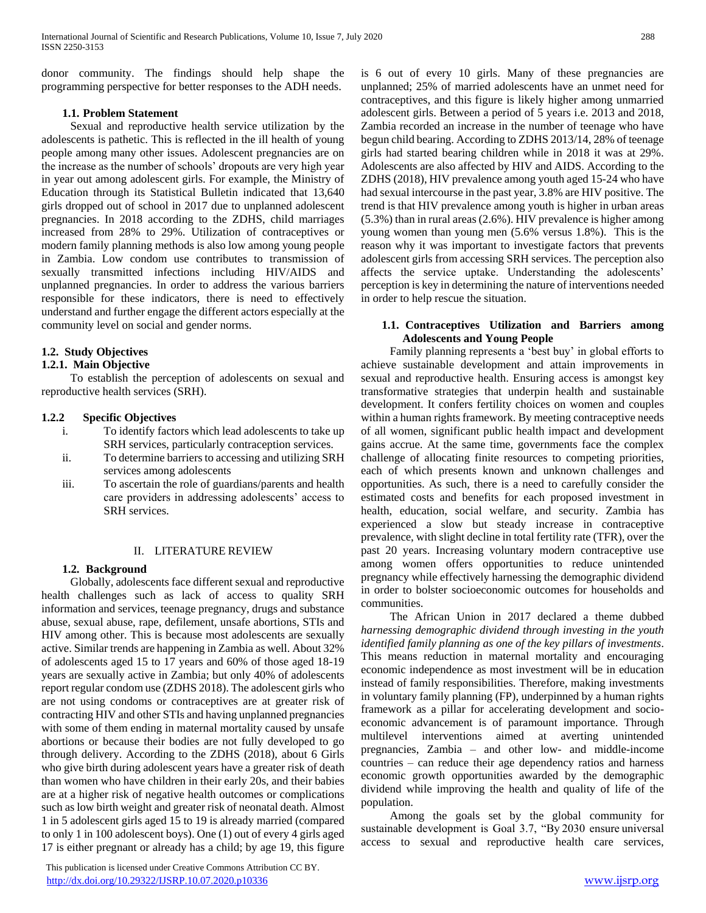donor community. The findings should help shape the programming perspective for better responses to the ADH needs.

## **1.1. Problem Statement**

 Sexual and reproductive health service utilization by the adolescents is pathetic. This is reflected in the ill health of young people among many other issues. Adolescent pregnancies are on the increase as the number of schools' dropouts are very high year in year out among adolescent girls. For example, the Ministry of Education through its Statistical Bulletin indicated that 13,640 girls dropped out of school in 2017 due to unplanned adolescent pregnancies. In 2018 according to the ZDHS, child marriages increased from 28% to 29%. Utilization of contraceptives or modern family planning methods is also low among young people in Zambia. Low condom use contributes to transmission of sexually transmitted infections including HIV/AIDS and unplanned pregnancies. In order to address the various barriers responsible for these indicators, there is need to effectively understand and further engage the different actors especially at the community level on social and gender norms.

## **1.2. Study Objectives**

## **1.2.1. Main Objective**

 To establish the perception of adolescents on sexual and reproductive health services (SRH).

## **1.2.2 Specific Objectives**

- i. To identify factors which lead adolescents to take up SRH services, particularly contraception services.
- ii. To determine barriers to accessing and utilizing SRH services among adolescents
- iii. To ascertain the role of guardians/parents and health care providers in addressing adolescents' access to SRH services.

## II. LITERATURE REVIEW

## **1.2. Background**

 Globally, adolescents face different sexual and reproductive health challenges such as lack of access to quality SRH information and services, teenage pregnancy, drugs and substance abuse, sexual abuse, rape, defilement, unsafe abortions, STIs and HIV among other. This is because most adolescents are sexually active. Similar trends are happening in Zambia as well. About 32% of adolescents aged 15 to 17 years and 60% of those aged 18-19 years are sexually active in Zambia; but only 40% of adolescents report regular condom use (ZDHS 2018). The adolescent girls who are not using condoms or contraceptives are at greater risk of contracting HIV and other STIs and having unplanned pregnancies with some of them ending in maternal mortality caused by unsafe abortions or because their bodies are not fully developed to go through delivery. According to the ZDHS (2018), about 6 Girls who give birth during adolescent years have a greater risk of death than women who have children in their early 20s, and their babies are at a higher risk of negative health outcomes or complications such as low birth weight and greater risk of neonatal death. Almost 1 in 5 adolescent girls aged 15 to 19 is already married (compared to only 1 in 100 adolescent boys). One (1) out of every 4 girls aged 17 is either pregnant or already has a child; by age 19, this figure

 This publication is licensed under Creative Commons Attribution CC BY. <http://dx.doi.org/10.29322/IJSRP.10.07.2020.p10336> [www.ijsrp.org](http://ijsrp.org/)

is 6 out of every 10 girls. Many of these pregnancies are unplanned; 25% of married adolescents have an unmet need for contraceptives, and this figure is likely higher among unmarried adolescent girls. Between a period of 5 years i.e. 2013 and 2018, Zambia recorded an increase in the number of teenage who have begun child bearing. According to ZDHS 2013/14, 28% of teenage girls had started bearing children while in 2018 it was at 29%. Adolescents are also affected by HIV and AIDS. According to the ZDHS (2018), HIV prevalence among youth aged 15-24 who have had sexual intercourse in the past year, 3.8% are HIV positive. The trend is that HIV prevalence among youth is higher in urban areas (5.3%) than in rural areas (2.6%). HIV prevalence is higher among young women than young men (5.6% versus 1.8%). This is the reason why it was important to investigate factors that prevents adolescent girls from accessing SRH services. The perception also affects the service uptake. Understanding the adolescents' perception is key in determining the nature of interventions needed in order to help rescue the situation.

## **1.1. Contraceptives Utilization and Barriers among Adolescents and Young People**

 Family planning represents a 'best buy' in global efforts to achieve sustainable development and attain improvements in sexual and reproductive health. Ensuring access is amongst key transformative strategies that underpin health and sustainable development. It confers fertility choices on women and couples within a human rights framework. By meeting contraceptive needs of all women, significant public health impact and development gains accrue. At the same time, governments face the complex challenge of allocating finite resources to competing priorities, each of which presents known and unknown challenges and opportunities. As such, there is a need to carefully consider the estimated costs and benefits for each proposed investment in health, education, social welfare, and security. Zambia has experienced a slow but steady increase in contraceptive prevalence, with slight decline in total fertility rate (TFR), over the past 20 years. Increasing voluntary modern contraceptive use among women offers opportunities to reduce unintended pregnancy while effectively harnessing the demographic dividend in order to bolster socioeconomic outcomes for households and communities.

 The African Union in 2017 declared a theme dubbed *harnessing demographic dividend through investing in the youth identified family planning as one of the key pillars of investments*. This means reduction in maternal mortality and encouraging economic independence as most investment will be in education instead of family responsibilities. Therefore, making investments in voluntary family planning (FP), underpinned by a human rights framework as a pillar for accelerating development and socioeconomic advancement is of paramount importance. Through multilevel interventions aimed at averting unintended pregnancies, Zambia – and other low- and middle-income countries – can reduce their age dependency ratios and harness economic growth opportunities awarded by the demographic dividend while improving the health and quality of life of the population.

 Among the goals set by the global community for sustainable development is Goal 3.7, "By 2030 ensure universal access to sexual and reproductive health care services,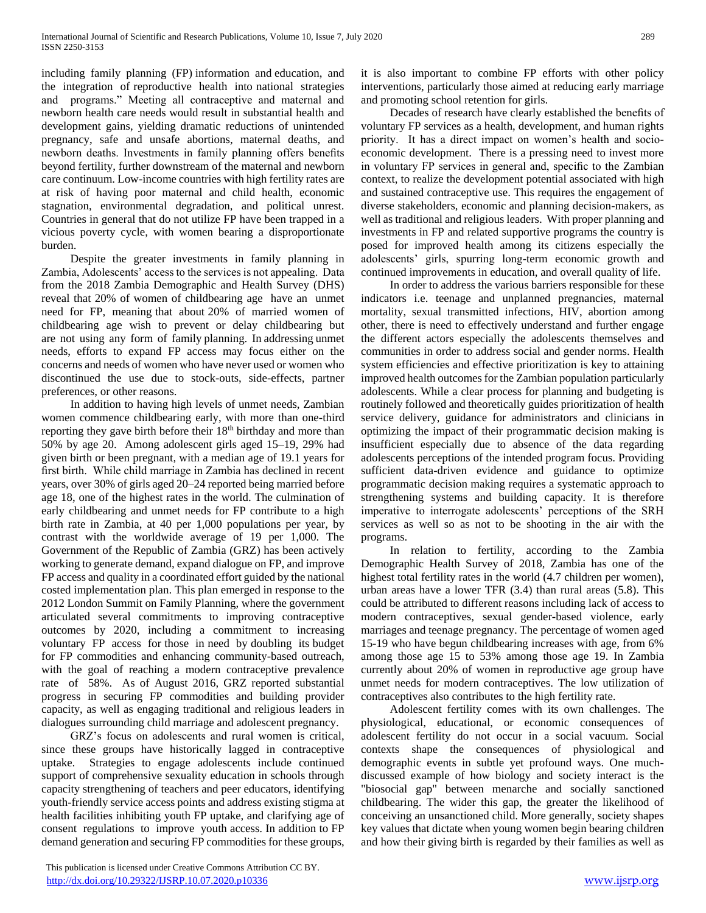including family planning (FP) information and education, and the integration of reproductive health into national strategies and programs." Meeting all contraceptive and maternal and newborn health care needs would result in substantial health and development gains, yielding dramatic reductions of unintended pregnancy, safe and unsafe abortions, maternal deaths, and newborn deaths. Investments in family planning offers benefits beyond fertility, further downstream of the maternal and newborn care continuum. Low-income countries with high fertility rates are at risk of having poor maternal and child health, economic stagnation, environmental degradation, and political unrest. Countries in general that do not utilize FP have been trapped in a vicious poverty cycle, with women bearing a disproportionate burden.

 Despite the greater investments in family planning in Zambia, Adolescents' access to the services is not appealing. Data from the 2018 Zambia Demographic and Health Survey (DHS) reveal that 20% of women of childbearing age have an unmet need for FP, meaning that about 20% of married women of childbearing age wish to prevent or delay childbearing but are not using any form of family planning. In addressing unmet needs, efforts to expand FP access may focus either on the concerns and needs of women who have never used or women who discontinued the use due to stock-outs, side-effects, partner preferences, or other reasons.

 In addition to having high levels of unmet needs, Zambian women commence childbearing early, with more than one-third reporting they gave birth before their 18<sup>th</sup> birthday and more than 50% by age 20. Among adolescent girls aged 15–19, 29% had given birth or been pregnant, with a median age of 19.1 years for first birth. While child marriage in Zambia has declined in recent years, over 30% of girls aged 20–24 reported being married before age 18, one of the highest rates in the world. The culmination of early childbearing and unmet needs for FP contribute to a high birth rate in Zambia, at 40 per 1,000 populations per year, by contrast with the worldwide average of 19 per 1,000. The Government of the Republic of Zambia (GRZ) has been actively working to generate demand, expand dialogue on FP, and improve FP access and quality in a coordinated effort guided by the national costed implementation plan. This plan emerged in response to the 2012 London Summit on Family Planning, where the government articulated several commitments to improving contraceptive outcomes by 2020, including a commitment to increasing voluntary FP access for those in need by doubling its budget for FP commodities and enhancing community-based outreach, with the goal of reaching a modern contraceptive prevalence rate of 58%. As of August 2016, GRZ reported substantial progress in securing FP commodities and building provider capacity, as well as engaging traditional and religious leaders in dialogues surrounding child marriage and adolescent pregnancy.

 GRZ's focus on adolescents and rural women is critical, since these groups have historically lagged in contraceptive uptake. Strategies to engage adolescents include continued support of comprehensive sexuality education in schools through capacity strengthening of teachers and peer educators, identifying youth-friendly service access points and address existing stigma at health facilities inhibiting youth FP uptake, and clarifying age of consent regulations to improve youth access. In addition to FP demand generation and securing FP commodities for these groups,

 This publication is licensed under Creative Commons Attribution CC BY. <http://dx.doi.org/10.29322/IJSRP.10.07.2020.p10336> [www.ijsrp.org](http://ijsrp.org/)

it is also important to combine FP efforts with other policy interventions, particularly those aimed at reducing early marriage and promoting school retention for girls.

 Decades of research have clearly established the benefits of voluntary FP services as a health, development, and human rights priority. It has a direct impact on women's health and socioeconomic development. There is a pressing need to invest more in voluntary FP services in general and, specific to the Zambian context, to realize the development potential associated with high and sustained contraceptive use. This requires the engagement of diverse stakeholders, economic and planning decision-makers, as well as traditional and religious leaders. With proper planning and investments in FP and related supportive programs the country is posed for improved health among its citizens especially the adolescents' girls, spurring long-term economic growth and continued improvements in education, and overall quality of life.

 In order to address the various barriers responsible for these indicators i.e. teenage and unplanned pregnancies, maternal mortality, sexual transmitted infections, HIV, abortion among other, there is need to effectively understand and further engage the different actors especially the adolescents themselves and communities in order to address social and gender norms. Health system efficiencies and effective prioritization is key to attaining improved health outcomes for the Zambian population particularly adolescents. While a clear process for planning and budgeting is routinely followed and theoretically guides prioritization of health service delivery, guidance for administrators and clinicians in optimizing the impact of their programmatic decision making is insufficient especially due to absence of the data regarding adolescents perceptions of the intended program focus. Providing sufficient data-driven evidence and guidance to optimize programmatic decision making requires a systematic approach to strengthening systems and building capacity. It is therefore imperative to interrogate adolescents' perceptions of the SRH services as well so as not to be shooting in the air with the programs.

 In relation to fertility, according to the Zambia Demographic Health Survey of 2018, Zambia has one of the highest total fertility rates in the world (4.7 children per women), urban areas have a lower TFR (3.4) than rural areas (5.8). This could be attributed to different reasons including lack of access to modern contraceptives, sexual gender-based violence, early marriages and teenage pregnancy. The percentage of women aged 15-19 who have begun childbearing increases with age, from 6% among those age 15 to 53% among those age 19. In Zambia currently about 20% of women in reproductive age group have unmet needs for modern contraceptives. The low utilization of contraceptives also contributes to the high fertility rate.

 Adolescent fertility comes with its own challenges. The physiological, educational, or economic consequences of adolescent fertility do not occur in a social vacuum. Social contexts shape the consequences of physiological and demographic events in subtle yet profound ways. One muchdiscussed example of how biology and society interact is the "biosocial gap" between menarche and socially sanctioned childbearing. The wider this gap, the greater the likelihood of conceiving an unsanctioned child. More generally, society shapes key values that dictate when young women begin bearing children and how their giving birth is regarded by their families as well as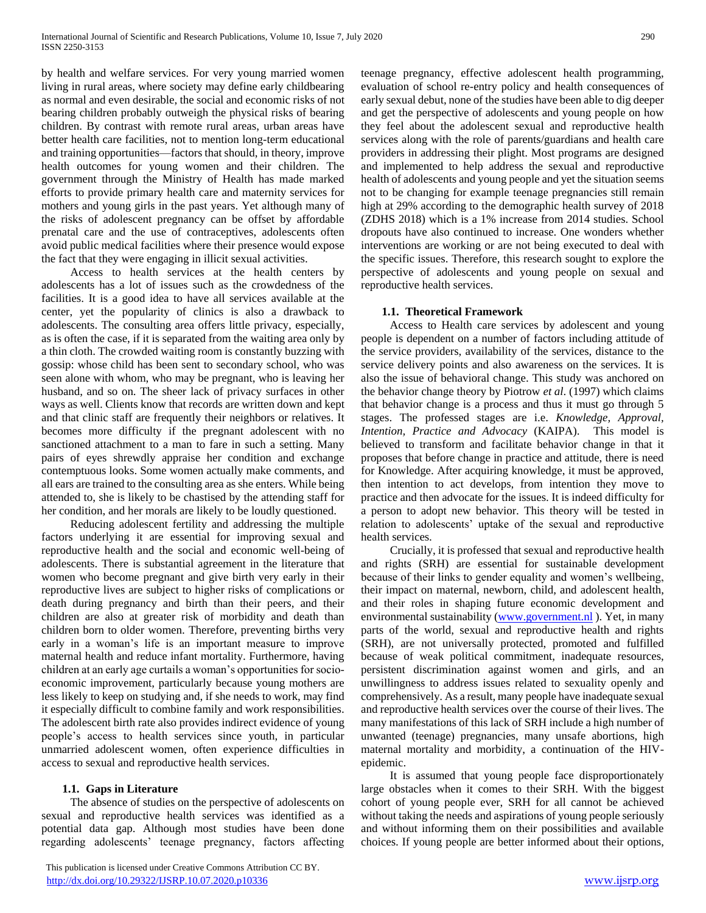by health and welfare services. For very young married women living in rural areas, where society may define early childbearing as normal and even desirable, the social and economic risks of not bearing children probably outweigh the physical risks of bearing children. By contrast with remote rural areas, urban areas have better health care facilities, not to mention long-term educational and training opportunities—factors that should, in theory, improve health outcomes for young women and their children. The government through the Ministry of Health has made marked efforts to provide primary health care and maternity services for mothers and young girls in the past years. Yet although many of the risks of adolescent pregnancy can be offset by affordable prenatal care and the use of contraceptives, adolescents often avoid public medical facilities where their presence would expose the fact that they were engaging in illicit sexual activities.

 Access to health services at the health centers by adolescents has a lot of issues such as the crowdedness of the facilities. It is a good idea to have all services available at the center, yet the popularity of clinics is also a drawback to adolescents. The consulting area offers little privacy, especially, as is often the case, if it is separated from the waiting area only by a thin cloth. The crowded waiting room is constantly buzzing with gossip: whose child has been sent to secondary school, who was seen alone with whom, who may be pregnant, who is leaving her husband, and so on. The sheer lack of privacy surfaces in other ways as well. Clients know that records are written down and kept and that clinic staff are frequently their neighbors or relatives. It becomes more difficulty if the pregnant adolescent with no sanctioned attachment to a man to fare in such a setting. Many pairs of eyes shrewdly appraise her condition and exchange contemptuous looks. Some women actually make comments, and all ears are trained to the consulting area as she enters. While being attended to, she is likely to be chastised by the attending staff for her condition, and her morals are likely to be loudly questioned.

 Reducing adolescent fertility and addressing the multiple factors underlying it are essential for improving sexual and reproductive health and the social and economic well-being of adolescents. There is substantial agreement in the literature that women who become pregnant and give birth very early in their reproductive lives are subject to higher risks of complications or death during pregnancy and birth than their peers, and their children are also at greater risk of morbidity and death than children born to older women. Therefore, preventing births very early in a woman's life is an important measure to improve maternal health and reduce infant mortality. Furthermore, having children at an early age curtails a woman's opportunities for socioeconomic improvement, particularly because young mothers are less likely to keep on studying and, if she needs to work, may find it especially difficult to combine family and work responsibilities. The adolescent birth rate also provides indirect evidence of young people's access to health services since youth, in particular unmarried adolescent women, often experience difficulties in access to sexual and reproductive health services.

## **1.1. Gaps in Literature**

 The absence of studies on the perspective of adolescents on sexual and reproductive health services was identified as a potential data gap. Although most studies have been done regarding adolescents' teenage pregnancy, factors affecting teenage pregnancy, effective adolescent health programming, evaluation of school re-entry policy and health consequences of early sexual debut, none of the studies have been able to dig deeper and get the perspective of adolescents and young people on how they feel about the adolescent sexual and reproductive health services along with the role of parents/guardians and health care providers in addressing their plight. Most programs are designed and implemented to help address the sexual and reproductive health of adolescents and young people and yet the situation seems not to be changing for example teenage pregnancies still remain high at 29% according to the demographic health survey of 2018 (ZDHS 2018) which is a 1% increase from 2014 studies. School dropouts have also continued to increase. One wonders whether interventions are working or are not being executed to deal with the specific issues. Therefore, this research sought to explore the perspective of adolescents and young people on sexual and reproductive health services.

## **1.1. Theoretical Framework**

 Access to Health care services by adolescent and young people is dependent on a number of factors including attitude of the service providers, availability of the services, distance to the service delivery points and also awareness on the services. It is also the issue of behavioral change. This study was anchored on the behavior change theory by Piotrow *et al*. (1997) which claims that behavior change is a process and thus it must go through 5 stages. The professed stages are i.e. *Knowledge, Approval, Intention, Practice and Advocacy* (KAIPA). This model is believed to transform and facilitate behavior change in that it proposes that before change in practice and attitude, there is need for Knowledge. After acquiring knowledge, it must be approved, then intention to act develops, from intention they move to practice and then advocate for the issues. It is indeed difficulty for a person to adopt new behavior. This theory will be tested in relation to adolescents' uptake of the sexual and reproductive health services.

 Crucially, it is professed that sexual and reproductive health and rights (SRH) are essential for sustainable development because of their links to gender equality and women's wellbeing, their impact on maternal, newborn, child, and adolescent health, and their roles in shaping future economic development and environmental sustainability [\(www.government.nl](http://www.government.nl/)). Yet, in many parts of the world, sexual and reproductive health and rights (SRH), are not universally protected, promoted and fulfilled because of weak political commitment, inadequate resources, persistent discrimination against women and girls, and an unwillingness to address issues related to sexuality openly and comprehensively. As a result, many people have inadequate sexual and reproductive health services over the course of their lives. The many manifestations of this lack of SRH include a high number of unwanted (teenage) pregnancies, many unsafe abortions, high maternal mortality and morbidity, a continuation of the HIVepidemic.

 It is assumed that young people face disproportionately large obstacles when it comes to their SRH. With the biggest cohort of young people ever, SRH for all cannot be achieved without taking the needs and aspirations of young people seriously and without informing them on their possibilities and available choices. If young people are better informed about their options,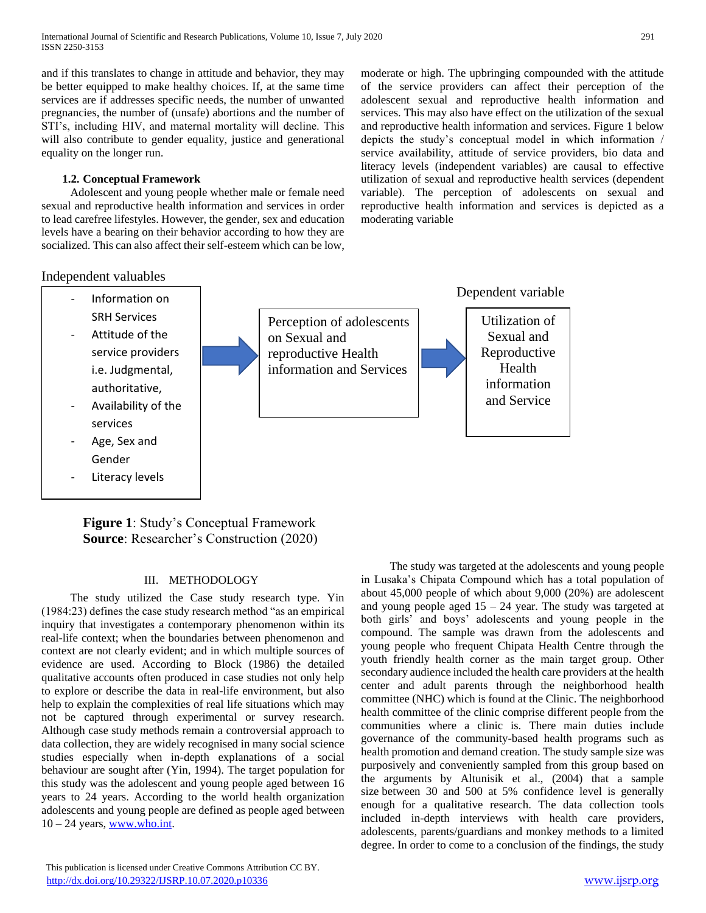and if this translates to change in attitude and behavior, they may be better equipped to make healthy choices. If, at the same time services are if addresses specific needs, the number of unwanted pregnancies, the number of (unsafe) abortions and the number of STI's, including HIV, and maternal mortality will decline. This will also contribute to gender equality, justice and generational equality on the longer run.

## **1.2. Conceptual Framework**

 Adolescent and young people whether male or female need sexual and reproductive health information and services in order to lead carefree lifestyles. However, the gender, sex and education levels have a bearing on their behavior according to how they are socialized. This can also affect their self-esteem which can be low, moderate or high. The upbringing compounded with the attitude of the service providers can affect their perception of the adolescent sexual and reproductive health information and services. This may also have effect on the utilization of the sexual and reproductive health information and services. Figure 1 below depicts the study's conceptual model in which information / service availability, attitude of service providers, bio data and literacy levels (independent variables) are causal to effective utilization of sexual and reproductive health services (dependent variable). The perception of adolescents on sexual and reproductive health information and services is depicted as a moderating variable

# Independent valuables



- Attitude of the service providers i.e. Judgmental, authoritative,
- Availability of the services
- Age, Sex and Gender
- Literacy levels

-



Dependent variable



**Figure 1**: Study's Conceptual Framework **Source**: Researcher's Construction (2020)

## III. METHODOLOGY

 The study utilized the Case study research type. Yin (1984:23) defines the case study research method "as an empirical inquiry that investigates a contemporary phenomenon within its real-life context; when the boundaries between phenomenon and context are not clearly evident; and in which multiple sources of evidence are used. According to Block (1986) the detailed qualitative accounts often produced in case studies not only help to explore or describe the data in real-life environment, but also help to explain the complexities of real life situations which may not be captured through experimental or survey research. Although case study methods remain a controversial approach to data collection, they are widely recognised in many social science studies especially when in-depth explanations of a social behaviour are sought after (Yin, 1994). The target population for this study was the adolescent and young people aged between 16 years to 24 years. According to the world health organization adolescents and young people are defined as people aged between  $10 - 24$  years[, www.who.int.](http://www.who.int/)

 This publication is licensed under Creative Commons Attribution CC BY. <http://dx.doi.org/10.29322/IJSRP.10.07.2020.p10336> [www.ijsrp.org](http://ijsrp.org/)

 The study was targeted at the adolescents and young people in Lusaka's Chipata Compound which has a total population of about 45,000 people of which about 9,000 (20%) are adolescent and young people aged  $15 - 24$  year. The study was targeted at both girls' and boys' adolescents and young people in the compound. The sample was drawn from the adolescents and young people who frequent Chipata Health Centre through the youth friendly health corner as the main target group. Other secondary audience included the health care providers at the health center and adult parents through the neighborhood health committee (NHC) which is found at the Clinic. The neighborhood health committee of the clinic comprise different people from the communities where a clinic is. There main duties include governance of the community-based health programs such as health promotion and demand creation. The study sample size was purposively and conveniently sampled from this group based on the arguments by Altunisik et al., (2004) that a sample size between 30 and 500 at 5% confidence level is generally enough for a qualitative research. The data collection tools included in-depth interviews with health care providers, adolescents, parents/guardians and monkey methods to a limited degree. In order to come to a conclusion of the findings, the study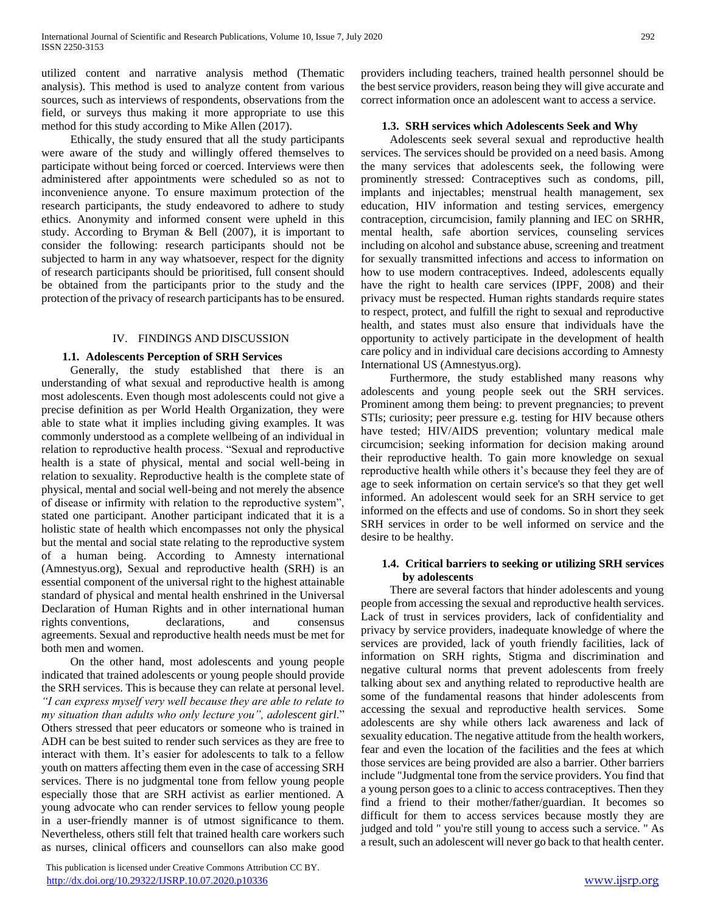utilized content and narrative analysis method (Thematic analysis). This method is used to analyze content from various sources, such as interviews of respondents, observations from the field, or surveys thus making it more appropriate to use this method for this study according to Mike Allen (2017).

 Ethically, the study ensured that all the study participants were aware of the study and willingly offered themselves to participate without being forced or coerced. Interviews were then administered after appointments were scheduled so as not to inconvenience anyone. To ensure maximum protection of the research participants, the study endeavored to adhere to study ethics. Anonymity and informed consent were upheld in this study. According to Bryman & Bell (2007), it is important to consider the following: research participants should not be subjected to harm in any way whatsoever, respect for the dignity of research participants should be prioritised, full consent should be obtained from the participants prior to the study and the protection of the privacy of research participants has to be ensured.

## IV. FINDINGS AND DISCUSSION

## **1.1. Adolescents Perception of SRH Services**

 Generally, the study established that there is an understanding of what sexual and reproductive health is among most adolescents. Even though most adolescents could not give a precise definition as per World Health Organization, they were able to state what it implies including giving examples. It was commonly understood as a complete wellbeing of an individual in relation to reproductive health process. "Sexual and reproductive health is a state of physical, mental and social well-being in relation to sexuality. Reproductive health is the complete state of physical, mental and social well-being and not merely the absence of disease or infirmity with relation to the reproductive system", stated one participant. Another participant indicated that it is a holistic state of health which encompasses not only the physical but the mental and social state relating to the reproductive system of a human being. According to Amnesty international (Amnestyus.org), Sexual and reproductive health (SRH) is an essential component of the universal right to the highest attainable standard of physical and mental health enshrined in the Universal Declaration of Human Rights and in other international human rights conventions, declarations, and consensus agreements. Sexual and reproductive health needs must be met for both men and women.

 On the other hand, most adolescents and young people indicated that trained adolescents or young people should provide the SRH services. This is because they can relate at personal level. *"I can express myself very well because they are able to relate to my situation than adults who only lecture you", adolescent girl*." Others stressed that peer educators or someone who is trained in ADH can be best suited to render such services as they are free to interact with them. It's easier for adolescents to talk to a fellow youth on matters affecting them even in the case of accessing SRH services. There is no judgmental tone from fellow young people especially those that are SRH activist as earlier mentioned. A young advocate who can render services to fellow young people in a user-friendly manner is of utmost significance to them. Nevertheless, others still felt that trained health care workers such as nurses, clinical officers and counsellors can also make good

 This publication is licensed under Creative Commons Attribution CC BY. <http://dx.doi.org/10.29322/IJSRP.10.07.2020.p10336> [www.ijsrp.org](http://ijsrp.org/)

providers including teachers, trained health personnel should be the best service providers, reason being they will give accurate and correct information once an adolescent want to access a service.

## **1.3. SRH services which Adolescents Seek and Why**

 Adolescents seek several sexual and reproductive health services. The services should be provided on a need basis. Among the many services that adolescents seek, the following were prominently stressed: Contraceptives such as condoms, pill, implants and injectables; menstrual health management, sex education, HIV information and testing services, emergency contraception, circumcision, family planning and IEC on SRHR, mental health, safe abortion services, counseling services including on alcohol and substance abuse, screening and treatment for sexually transmitted infections and access to information on how to use modern contraceptives. Indeed, adolescents equally have the right to health care services (IPPF, 2008) and their privacy must be respected. Human rights standards require states to respect, protect, and fulfill the right to sexual and reproductive health, and states must also ensure that individuals have the opportunity to actively participate in the development of health care policy and in individual care decisions according to Amnesty International US (Amnestyus.org).

 Furthermore, the study established many reasons why adolescents and young people seek out the SRH services. Prominent among them being: to prevent pregnancies; to prevent STIs; curiosity; peer pressure e.g. testing for HIV because others have tested; HIV/AIDS prevention; voluntary medical male circumcision; seeking information for decision making around their reproductive health. To gain more knowledge on sexual reproductive health while others it's because they feel they are of age to seek information on certain service's so that they get well informed. An adolescent would seek for an SRH service to get informed on the effects and use of condoms. So in short they seek SRH services in order to be well informed on service and the desire to be healthy.

## **1.4. Critical barriers to seeking or utilizing SRH services by adolescents**

 There are several factors that hinder adolescents and young people from accessing the sexual and reproductive health services. Lack of trust in services providers, lack of confidentiality and privacy by service providers, inadequate knowledge of where the services are provided, lack of youth friendly facilities, lack of information on SRH rights, Stigma and discrimination and negative cultural norms that prevent adolescents from freely talking about sex and anything related to reproductive health are some of the fundamental reasons that hinder adolescents from accessing the sexual and reproductive health services. Some adolescents are shy while others lack awareness and lack of sexuality education. The negative attitude from the health workers, fear and even the location of the facilities and the fees at which those services are being provided are also a barrier. Other barriers include "Judgmental tone from the service providers. You find that a young person goes to a clinic to access contraceptives. Then they find a friend to their mother/father/guardian. It becomes so difficult for them to access services because mostly they are judged and told " you're still young to access such a service. " As a result, such an adolescent will never go back to that health center.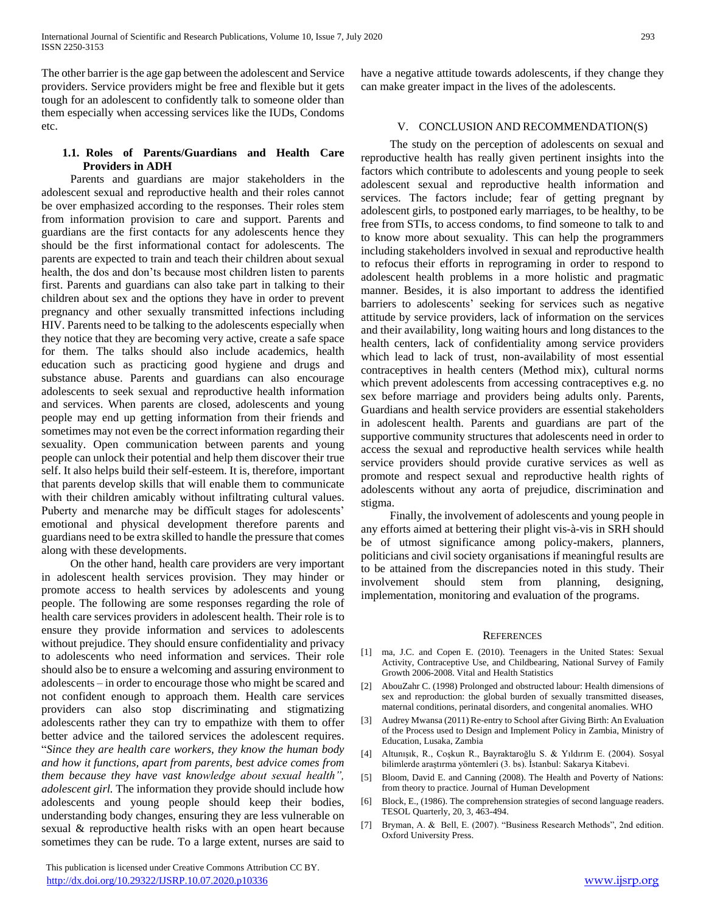The other barrier is the age gap between the adolescent and Service providers. Service providers might be free and flexible but it gets tough for an adolescent to confidently talk to someone older than them especially when accessing services like the IUDs, Condoms etc.

## **1.1. Roles of Parents/Guardians and Health Care Providers in ADH**

 Parents and guardians are major stakeholders in the adolescent sexual and reproductive health and their roles cannot be over emphasized according to the responses. Their roles stem from information provision to care and support. Parents and guardians are the first contacts for any adolescents hence they should be the first informational contact for adolescents. The parents are expected to train and teach their children about sexual health, the dos and don'ts because most children listen to parents first. Parents and guardians can also take part in talking to their children about sex and the options they have in order to prevent pregnancy and other sexually transmitted infections including HIV. Parents need to be talking to the adolescents especially when they notice that they are becoming very active, create a safe space for them. The talks should also include academics, health education such as practicing good hygiene and drugs and substance abuse. Parents and guardians can also encourage adolescents to seek sexual and reproductive health information and services. When parents are closed, adolescents and young people may end up getting information from their friends and sometimes may not even be the correct information regarding their sexuality. Open communication between parents and young people can unlock their potential and help them discover their true self. It also helps build their self-esteem. It is, therefore, important that parents develop skills that will enable them to communicate with their children amicably without infiltrating cultural values. Puberty and menarche may be difficult stages for adolescents' emotional and physical development therefore parents and guardians need to be extra skilled to handle the pressure that comes along with these developments.

 On the other hand, health care providers are very important in adolescent health services provision. They may hinder or promote access to health services by adolescents and young people. The following are some responses regarding the role of health care services providers in adolescent health. Their role is to ensure they provide information and services to adolescents without prejudice. They should ensure confidentiality and privacy to adolescents who need information and services. Their role should also be to ensure a welcoming and assuring environment to adolescents – in order to encourage those who might be scared and not confident enough to approach them. Health care services providers can also stop discriminating and stigmatizing adolescents rather they can try to empathize with them to offer better advice and the tailored services the adolescent requires. "*Since they are health care workers, they know the human body and how it functions, apart from parents, best advice comes from them because they have vast knowledge about sexual health", adolescent girl.* The information they provide should include how adolescents and young people should keep their bodies, understanding body changes, ensuring they are less vulnerable on sexual & reproductive health risks with an open heart because sometimes they can be rude. To a large extent, nurses are said to

 This publication is licensed under Creative Commons Attribution CC BY. <http://dx.doi.org/10.29322/IJSRP.10.07.2020.p10336> [www.ijsrp.org](http://ijsrp.org/)

have a negative attitude towards adolescents, if they change they can make greater impact in the lives of the adolescents.

#### V. CONCLUSION AND RECOMMENDATION(S)

 The study on the perception of adolescents on sexual and reproductive health has really given pertinent insights into the factors which contribute to adolescents and young people to seek adolescent sexual and reproductive health information and services. The factors include; fear of getting pregnant by adolescent girls, to postponed early marriages, to be healthy, to be free from STIs, to access condoms, to find someone to talk to and to know more about sexuality. This can help the programmers including stakeholders involved in sexual and reproductive health to refocus their efforts in reprograming in order to respond to adolescent health problems in a more holistic and pragmatic manner. Besides, it is also important to address the identified barriers to adolescents' seeking for services such as negative attitude by service providers, lack of information on the services and their availability, long waiting hours and long distances to the health centers, lack of confidentiality among service providers which lead to lack of trust, non-availability of most essential contraceptives in health centers (Method mix), cultural norms which prevent adolescents from accessing contraceptives e.g. no sex before marriage and providers being adults only. Parents, Guardians and health service providers are essential stakeholders in adolescent health. Parents and guardians are part of the supportive community structures that adolescents need in order to access the sexual and reproductive health services while health service providers should provide curative services as well as promote and respect sexual and reproductive health rights of adolescents without any aorta of prejudice, discrimination and stigma.

 Finally, the involvement of adolescents and young people in any efforts aimed at bettering their plight vis-à-vis in SRH should be of utmost significance among policy-makers, planners, politicians and civil society organisations if meaningful results are to be attained from the discrepancies noted in this study. Their involvement should stem from planning, designing, implementation, monitoring and evaluation of the programs.

#### **REFERENCES**

- [1] ma, J.C. and Copen E. (2010). Teenagers in the United States: Sexual Activity, Contraceptive Use, and Childbearing, National Survey of Family Growth 2006-2008. Vital and Health Statistics
- [2] AbouZahr C. (1998) Prolonged and obstructed labour: Health dimensions of sex and reproduction: the global burden of sexually transmitted diseases, maternal conditions, perinatal disorders, and congenital anomalies. WHO
- [3] Audrey Mwansa (2011) Re-entry to School after Giving Birth: An Evaluation of the Process used to Design and Implement Policy in Zambia, Ministry of Education, Lusaka, Zambia
- [4] Altunışık, R., Coşkun R., Bayraktaroğlu S. & Yıldırım E. (2004). Sosyal bilimlerde araştırma yöntemleri (3. bs). İstanbul: Sakarya Kitabevi.
- [5] Bloom, David E. and Canning (2008). The Health and Poverty of Nations: from theory to practice. Journal of Human Development
- [6] Block, E., (1986). The comprehension strategies of second language readers. TESOL Quarterly, 20, 3, 463-494.
- [7] Bryman, A. & Bell, E. (2007). "Business Research Methods", 2nd edition. Oxford University Press.